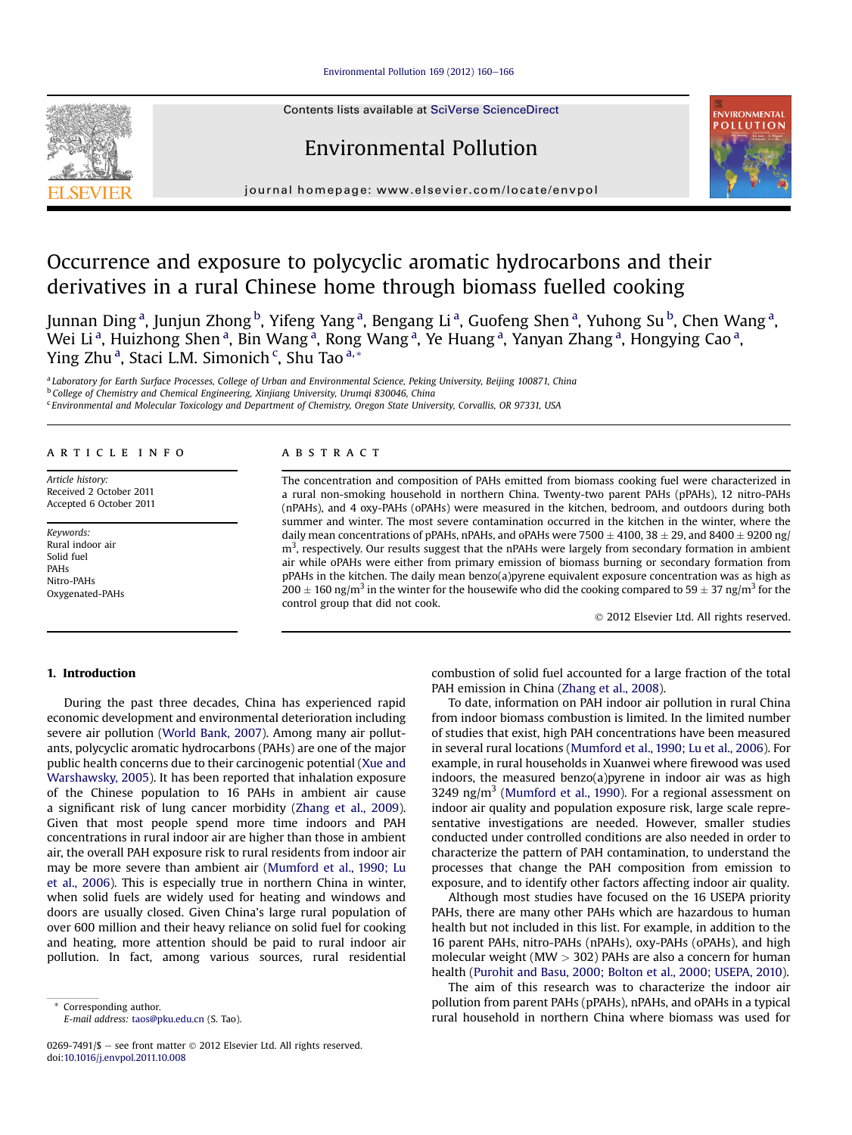#### [Environmental](http://dx.doi.org/10.1016/j.envpol.2011.10.008) Pollution 169 (2012) 160-[166](http://dx.doi.org/10.1016/j.envpol.2011.10.008)

Contents lists available at SciVerse ScienceDirect

# Environmental Pollution



journal homepage: [www.elsevier.com/locate/envpol](http://www.elsevier.com/locate/envpol)

# Occurrence and exposure to polycyclic aromatic hydrocarbons and their derivatives in a rural Chinese home through biomass fuelled cooking

Junnan Ding<sup>a</sup>, Junjun Zhong <sup>b</sup>, Yifeng Yang<sup>a</sup>, Bengang Li<sup>a</sup>, Guofeng Shen<sup>a</sup>, Yuhong Su <sup>b</sup>, Chen Wang<sup>a</sup>, Wei Li<sup>a</sup>, Huizhong Shen<sup>a</sup>, Bin Wang<sup>a</sup>, Rong Wang<sup>a</sup>, Ye Huang<sup>a</sup>, Yanyan Zhang<sup>a</sup>, Hongying Cao<sup>a</sup>, Ying Zhu<sup>a</sup>, Staci L.M. Simonich<sup>c</sup>, Shu Tao<sup>a,\*</sup>

a Laboratory for Earth Surface Processes, College of Urban and Environmental Science, Peking University, Beijing 100871, China <sup>b</sup> College of Chemistry and Chemical Engineering, Xinjiang University, Urumqi 830046, China

<sup>c</sup> Environmental and Molecular Toxicology and Department of Chemistry, Oregon State University, Corvallis, OR 97331, USA

#### article info abstract

Article history: Received 2 October 2011 Accepted 6 October 2011

Keywords: Rural indoor air Solid fuel PAHs Nitro-PAHs Oxygenated-PAHs

The concentration and composition of PAHs emitted from biomass cooking fuel were characterized in a rural non-smoking household in northern China. Twenty-two parent PAHs (pPAHs), 12 nitro-PAHs (nPAHs), and 4 oxy-PAHs (oPAHs) were measured in the kitchen, bedroom, and outdoors during both summer and winter. The most severe contamination occurred in the kitchen in the winter, where the daily mean concentrations of pPAHs, nPAHs, and oPAHs were 7500  $\pm$  4100, 38  $\pm$  29, and 8400  $\pm$  9200 ng/  $m<sup>3</sup>$ , respectively. Our results suggest that the nPAHs were largely from secondary formation in ambient air while oPAHs were either from primary emission of biomass burning or secondary formation from pPAHs in the kitchen. The daily mean benzo(a)pyrene equivalent exposure concentration was as high as 200  $\pm$  160 ng/m<sup>3</sup> in the winter for the housewife who did the cooking compared to 59  $\pm$  37 ng/m<sup>3</sup> for the control group that did not cook.

© 2012 Elsevier Ltd. All rights reserved.

## 1. Introduction

During the past three decades, China has experienced rapid economic development and environmental deterioration including severe air pollution ([World](#page-6-0) Bank, 2007). Among many air pollutants, polycyclic aromatic hydrocarbons (PAHs) are one of the major public health concerns due to their carcinogenic potential [\(Xue](#page-6-0) and [Warshawsky,](#page-6-0) 2005). It has been reported that inhalation exposure of the Chinese population to 16 PAHs in ambient air cause a significant risk of lung cancer morbidity ([Zhang](#page-6-0) et al., 2009). Given that most people spend more time indoors and PAH concentrations in rural indoor air are higher than those in ambient air, the overall PAH exposure risk to rural residents from indoor air may be more severe than ambient air [\(Mumford](#page-6-0) et al., 1990; Lu et al., [2006\)](#page-6-0). This is especially true in northern China in winter, when solid fuels are widely used for heating and windows and doors are usually closed. Given China's large rural population of over 600 million and their heavy reliance on solid fuel for cooking and heating, more attention should be paid to rural indoor air pollution. In fact, among various sources, rural residential

E-mail address: [taos@pku.edu.cn](mailto:taos@pku.edu.cn) (S. Tao).

combustion of solid fuel accounted for a large fraction of the total PAH emission in China [\(Zhang](#page-6-0) et al., 2008).

To date, information on PAH indoor air pollution in rural China from indoor biomass combustion is limited. In the limited number of studies that exist, high PAH concentrations have been measured in several rural locations [\(Mumford](#page-6-0) et al., 1990; Lu et al., 2006). For example, in rural households in Xuanwei where firewood was used indoors, the measured benzo(a)pyrene in indoor air was as high  $3249$  ng/m<sup>3</sup> [\(Mumford](#page-6-0) et al., 1990). For a regional assessment on indoor air quality and population exposure risk, large scale representative investigations are needed. However, smaller studies conducted under controlled conditions are also needed in order to characterize the pattern of PAH contamination, to understand the processes that change the PAH composition from emission to exposure, and to identify other factors affecting indoor air quality.

Although most studies have focused on the 16 USEPA priority PAHs, there are many other PAHs which are hazardous to human health but not included in this list. For example, in addition to the 16 parent PAHs, nitro-PAHs (nPAHs), oxy-PAHs (oPAHs), and high molecular weight (MW  $>$  302) PAHs are also a concern for human health [\(Purohit](#page-6-0) and Basu, 2000; Bolton et al., 2000; USEPA, 2010).

The aim of this research was to characterize the indoor air pollution from parent PAHs (pPAHs), nPAHs, and oPAHs in a typical rural household in northern China where biomass was used for



Corresponding author.

<sup>0269-7491/\$ -</sup> see front matter  $\odot$  2012 Elsevier Ltd. All rights reserved. doi:[10.1016/j.envpol.2011.10.008](http://dx.doi.org/10.1016/j.envpol.2011.10.008)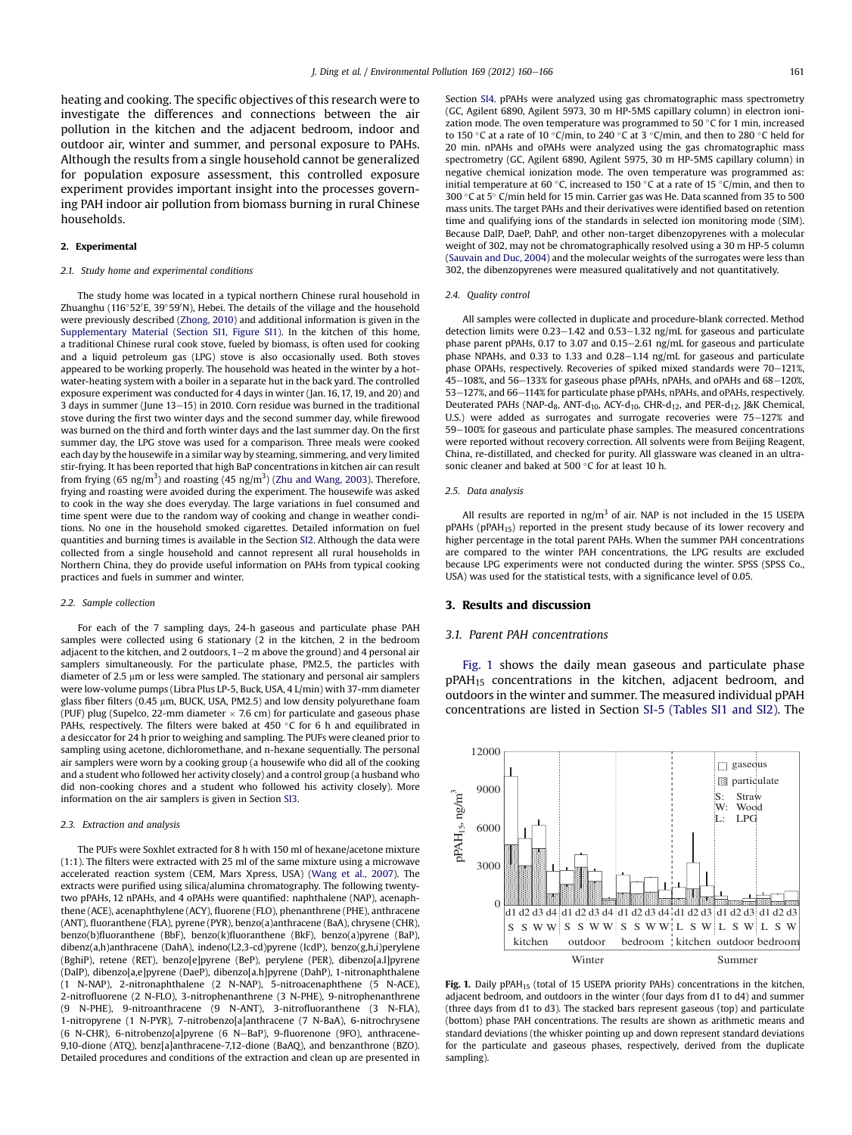heating and cooking. The specific objectives of this research were to investigate the differences and connections between the air pollution in the kitchen and the adjacent bedroom, indoor and outdoor air, winter and summer, and personal exposure to PAHs. Although the results from a single household cannot be generalized for population exposure assessment, this controlled exposure experiment provides important insight into the processes governing PAH indoor air pollution from biomass burning in rural Chinese households.

#### 2. Experimental

#### 2.1. Study home and experimental conditions

The study home was located in a typical northern Chinese rural household in Zhuanghu (116°52′E, 39°59′N), Hebei. The details of the village and the household were previously described [\(Zhong,](#page-6-0) 2010) and additional information is given in the Supplementary Material (Section SI1, Figure SI1). In the kitchen of this home, a traditional Chinese rural cook stove, fueled by biomass, is often used for cooking and a liquid petroleum gas (LPG) stove is also occasionally used. Both stoves appeared to be working properly. The household was heated in the winter by a hotwater-heating system with a boiler in a separate hut in the back yard. The controlled exposure experiment was conducted for 4 days in winter (Jan. 16, 17, 19, and 20) and 3 days in summer (June  $13-15$ ) in 2010. Corn residue was burned in the traditional stove during the first two winter days and the second summer day, while firewood was burned on the third and forth winter days and the last summer day. On the first summer day, the LPG stove was used for a comparison. Three meals were cooked each day by the housewife in a similar way by steaming, simmering, and very limited stir-frying. It has been reported that high BaP concentrations in kitchen air can result from frying (65 ng/m<sup>3</sup>) and roasting (45 ng/m<sup>3</sup>) (Zhu and [Wang,](#page-6-0) 2003). Therefore, frying and roasting were avoided during the experiment. The housewife was asked to cook in the way she does everyday. The large variations in fuel consumed and time spent were due to the random way of cooking and change in weather conditions. No one in the household smoked cigarettes. Detailed information on fuel quantities and burning times is available in the Section SI2. Although the data were collected from a single household and cannot represent all rural households in Northern China, they do provide useful information on PAHs from typical cooking practices and fuels in summer and winter.

### 2.2. Sample collection

For each of the 7 sampling days, 24-h gaseous and particulate phase PAH samples were collected using 6 stationary (2 in the kitchen, 2 in the bedroom adjacent to the kitchen, and 2 outdoors,  $1-2$  m above the ground) and 4 personal air samplers simultaneously. For the particulate phase, PM2.5, the particles with diameter of 2.5 µm or less were sampled. The stationary and personal air samplers were low-volume pumps (Libra Plus LP-5, Buck, USA, 4 L/min) with 37-mm diameter glass fiber filters (0.45 µm, BUCK, USA, PM2.5) and low density polyurethane foam (PUF) plug (Supelco, 22-mm diameter  $\times$  7.6 cm) for particulate and gaseous phase PAHs, respectively. The filters were baked at 450 °C for 6 h and equilibrated in a desiccator for 24 h prior to weighing and sampling. The PUFs were cleaned prior to sampling using acetone, dichloromethane, and n-hexane sequentially. The personal air samplers were worn by a cooking group (a housewife who did all of the cooking and a student who followed her activity closely) and a control group (a husband who did non-cooking chores and a student who followed his activity closely). More information on the air samplers is given in Section SI3.

#### 2.3. Extraction and analysis

The PUFs were Soxhlet extracted for 8 h with 150 ml of hexane/acetone mixture (1:1). The filters were extracted with 25 ml of the same mixture using a microwave accelerated reaction system (CEM, Mars Xpress, USA) ([Wang](#page-6-0) et al., 2007). The extracts were purified using silica/alumina chromatography. The following twentytwo pPAHs, 12 nPAHs, and 4 oPAHs were quantified: naphthalene (NAP), acenaphthene (ACE), acenaphthylene (ACY), fluorene (FLO), phenanthrene (PHE), anthracene (ANT), fluoranthene (FLA), pyrene (PYR), benzo(a)anthracene (BaA), chrysene (CHR), benzo(b)fluoranthene (BbF), benzo(k)fluoranthene (BkF), benzo(a)pyrene (BaP), dibenz(a,h)anthracene (DahA), indeno(l,2,3-cd)pyrene (IcdP), benzo(g,h,i)perylene (BghiP), retene (RET), benzo[e]pyrene (BeP), perylene (PER), dibenzo[a.l]pyrene (DalP), dibenzo[a,e]pyrene (DaeP), dibenzo[a.h]pyrene (DahP), 1-nitronaphthalene (1 N-NAP), 2-nitronaphthalene (2 N-NAP), 5-nitroacenaphthene (5 N-ACE), 2-nitrofluorene (2 N-FLO), 3-nitrophenanthrene (3 N-PHE), 9-nitrophenanthrene (9 N-PHE), 9-nitroanthracene (9 N-ANT), 3-nitrofluoranthene (3 N-FLA), 1-nitropyrene (1 N-PYR), 7-nitrobenzo[a]anthracene (7 N-BaA), 6-nitrochrysene (6 N-CHR), 6-nitrobenzo[a]pyrene (6 N-BaP), 9-fluorenone (9FO), anthracene-9,10-dione (ATQ), benz[a]anthracene-7,12-dione (BaAQ), and benzanthrone (BZO). Detailed procedures and conditions of the extraction and clean up are presented in Section SI4. pPAHs were analyzed using gas chromatographic mass spectrometry (GC, Agilent 6890, Agilent 5973, 30 m HP-5MS capillary column) in electron ionization mode. The oven temperature was programmed to 50  $\degree$ C for 1 min, increased to 150 °C at a rate of 10 °C/min, to 240 °C at 3 °C/min, and then to 280 °C held for 20 min. nPAHs and oPAHs were analyzed using the gas chromatographic mass spectrometry (GC, Agilent 6890, Agilent 5975, 30 m HP-5MS capillary column) in negative chemical ionization mode. The oven temperature was programmed as: initial temperature at 60 "C, increased to 150 "C at a rate of 15 "C/min, and then to 300 "C at 5" C/min held for 15 min. Carrier gas was He. Data scanned from 35 to 500 mass units. The target PAHs and their derivatives were identified based on retention time and qualifying ions of the standards in selected ion monitoring mode (SIM). Because DalP, DaeP, DahP, and other non-target dibenzopyrenes with a molecular weight of 302, may not be chromatographically resolved using a 30 m HP-5 column ([Sauvain](#page-6-0) and Duc, 2004) and the molecular weights of the surrogates were less than 302, the dibenzopyrenes were measured qualitatively and not quantitatively.

#### 2.4. Quality control

All samples were collected in duplicate and procedure-blank corrected. Method detection limits were  $0.23-1.42$  and  $0.53-1.32$  ng/mL for gaseous and particulate phase parent pPAHs, 0.17 to 3.07 and 0.15-2.61 ng/mL for gaseous and particulate phase NPAHs, and 0.33 to 1.33 and 0.28–1.14 ng/mL for gaseous and particulate phase OPAHs, respectively. Recoveries of spiked mixed standards were 70-121%, 45-108%, and 56-133% for gaseous phase pPAHs, nPAHs, and oPAHs and 68-120%, 53-127%, and 66-114% for particulate phase pPAHs, nPAHs, and oPAHs, respectively. Deuterated PAHs (NAP-d<sub>8</sub>, ANT-d<sub>10</sub>, ACY-d<sub>10</sub>, CHR-d<sub>12</sub>, and PER-d<sub>12</sub>, J&K Chemical, U.S.) were added as surrogates and surrogate recoveries were 75-127% and 59-100% for gaseous and particulate phase samples. The measured concentrations were reported without recovery correction. All solvents were from Beijing Reagent, China, re-distillated, and checked for purity. All glassware was cleaned in an ultrasonic cleaner and baked at 500 "C for at least 10 h.

#### 2.5. Data analysis

All results are reported in  $\text{ng/m}^3$  of air. NAP is not included in the 15 USEPA pPAHs (pPAH<sub>15</sub>) reported in the present study because of its lower recovery and higher percentage in the total parent PAHs. When the summer PAH concentrations are compared to the winter PAH concentrations, the LPG results are excluded because LPG experiments were not conducted during the winter. SPSS (SPSS Co., USA) was used for the statistical tests, with a significance level of 0.05.

#### 3. Results and discussion

#### 3.1. Parent PAH concentrations

Fig. 1 shows the daily mean gaseous and particulate phase  $pPAH_{15}$  concentrations in the kitchen, adjacent bedroom, and outdoors in the winter and summer. The measured individual pPAH concentrations are listed in Section SI-5 (Tables SI1 and SI2). The



Fig. 1. Daily  $pPAH_{15}$  (total of 15 USEPA priority PAHs) concentrations in the kitchen, adjacent bedroom, and outdoors in the winter (four days from d1 to d4) and summer (three days from d1 to d3). The stacked bars represent gaseous (top) and particulate (bottom) phase PAH concentrations. The results are shown as arithmetic means and standard deviations (the whisker pointing up and down represent standard deviations for the particulate and gaseous phases, respectively, derived from the duplicate sampling).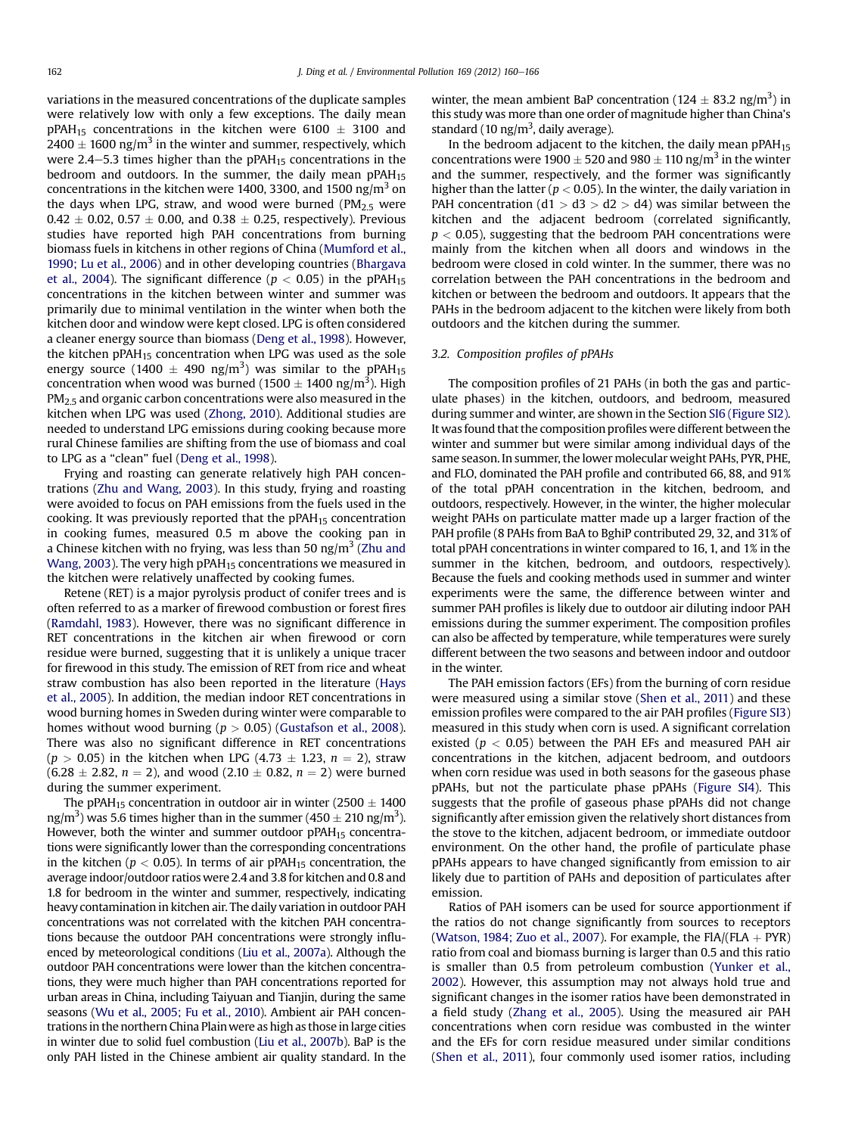variations in the measured concentrations of the duplicate samples were relatively low with only a few exceptions. The daily mean pPAH<sub>15</sub> concentrations in the kitchen were 6100  $\pm$  3100 and  $2400 \pm 1600$  ng/m<sup>3</sup> in the winter and summer, respectively, which were 2.4–5.3 times higher than the pPAH $_{15}$  concentrations in the bedroom and outdoors. In the summer, the daily mean  $pPAH_{15}$ concentrations in the kitchen were 1400, 3300, and 1500 ng/m<sup>3</sup> on the days when LPG, straw, and wood were burned ( $PM<sub>2.5</sub>$  were  $0.42 \pm 0.02$ ,  $0.57 \pm 0.00$ , and  $0.38 \pm 0.25$ , respectively). Previous studies have reported high PAH concentrations from burning biomass fuels in kitchens in other regions of China [\(Mumford](#page-6-0) et al., [1990;](#page-6-0) Lu et al., 2006) and in other developing countries [\(Bhargava](#page-5-0) et al., [2004\)](#page-5-0). The significant difference ( $p < 0.05$ ) in the pPAH<sub>15</sub> concentrations in the kitchen between winter and summer was primarily due to minimal ventilation in the winter when both the kitchen door and window were kept closed. LPG is often considered a cleaner energy source than biomass [\(Deng](#page-5-0) et al., 1998). However, the kitchen  $pPAH_{15}$  concentration when LPG was used as the sole energy source (1400  $\pm$  490 ng/m<sup>3</sup>) was similar to the pPAH<sub>15</sub> concentration when wood was burned (1500  $\pm$  1400 ng/m<sup>3</sup>). High PM<sub>2.5</sub> and organic carbon concentrations were also measured in the kitchen when LPG was used ([Zhong,](#page-6-0) 2010). Additional studies are needed to understand LPG emissions during cooking because more rural Chinese families are shifting from the use of biomass and coal to LPG as a "clean" fuel [\(Deng](#page-5-0) et al., 1998).

Frying and roasting can generate relatively high PAH concentrations (Zhu and [Wang,](#page-6-0) 2003). In this study, frying and roasting were avoided to focus on PAH emissions from the fuels used in the cooking. It was previously reported that the  $pPAH_{15}$  concentration in cooking fumes, measured 0.5 m above the cooking pan in a Chinese kitchen with no frying, was less than 50 ng/m<sup>3</sup> ([Zhu](#page-6-0) and [Wang,](#page-6-0) 2003). The very high  $pPAH_{15}$  concentrations we measured in the kitchen were relatively unaffected by cooking fumes.

Retene (RET) is a major pyrolysis product of conifer trees and is often referred to as a marker of firewood combustion or forest fires ([Ramdahl,](#page-6-0) 1983). However, there was no significant difference in RET concentrations in the kitchen air when firewood or corn residue were burned, suggesting that it is unlikely a unique tracer for firewood in this study. The emission of RET from rice and wheat straw combustion has also been reported in the literature ([Hays](#page-6-0) et al., [2005\)](#page-6-0). In addition, the median indoor RET concentrations in wood burning homes in Sweden during winter were comparable to homes without wood burning ( $p > 0.05$ ) ([Gustafson](#page-5-0) et al., 2008). There was also no significant difference in RET concentrations  $(p > 0.05)$  in the kitchen when LPG  $(4.73 \pm 1.23, n = 2)$ , straw  $(6.28 \pm 2.82, n = 2)$ , and wood  $(2.10 \pm 0.82, n = 2)$  were burned during the summer experiment.

The pPAH<sub>15</sub> concentration in outdoor air in winter (2500  $\pm$  1400 ng/m<sup>3</sup>) was 5.6 times higher than in the summer (450  $\pm$  210 ng/m<sup>3</sup>). However, both the winter and summer outdoor pPAH<sub>15</sub> concentrations were significantly lower than the corresponding concentrations in the kitchen ( $p < 0.05$ ). In terms of air pPAH<sub>15</sub> concentration, the average indoor/outdoor ratios were 2.4 and 3.8 for kitchen and 0.8 and 1.8 for bedroom in the winter and summer, respectively, indicating heavy contamination in kitchen air. The daily variation in outdoor PAH concentrations was not correlated with the kitchen PAH concentrations because the outdoor PAH concentrations were strongly influenced by meteorological conditions (Liu et al., [2007a](#page-6-0)). Although the outdoor PAH concentrations were lower than the kitchen concentrations, they were much higher than PAH concentrations reported for urban areas in China, including Taiyuan and Tianjin, during the same seasons (Wu et al., [2005;](#page-6-0) Fu et al., 2010). Ambient air PAH concentrations in the northern China Plain were as high as those in large cities in winter due to solid fuel combustion (Liu et al., [2007b\)](#page-6-0). BaP is the only PAH listed in the Chinese ambient air quality standard. In the

winter, the mean ambient BaP concentration (124  $\pm$  83.2 ng/m<sup>3</sup>) in this study was more than one order of magnitude higher than China's standard (10 ng/ $m<sup>3</sup>$ , daily average).

In the bedroom adjacent to the kitchen, the daily mean  $pPAH_{15}$ concentrations were 1900  $\pm$  520 and 980  $\pm$  110 ng/m<sup>3</sup> in the winter and the summer, respectively, and the former was significantly higher than the latter ( $p < 0.05$ ). In the winter, the daily variation in PAH concentration (d1  $>$  d3  $>$  d2  $>$  d4) was similar between the kitchen and the adjacent bedroom (correlated significantly,  $p < 0.05$ ), suggesting that the bedroom PAH concentrations were mainly from the kitchen when all doors and windows in the bedroom were closed in cold winter. In the summer, there was no correlation between the PAH concentrations in the bedroom and kitchen or between the bedroom and outdoors. It appears that the PAHs in the bedroom adjacent to the kitchen were likely from both outdoors and the kitchen during the summer.

### 3.2. Composition profiles of pPAHs

The composition profiles of 21 PAHs (in both the gas and particulate phases) in the kitchen, outdoors, and bedroom, measured during summer and winter, are shown in the Section SI6 (Figure SI2). It was found that the composition profiles were different between the winter and summer but were similar among individual days of the same season. In summer, the lower molecular weight PAHs, PYR, PHE, and FLO, dominated the PAH profile and contributed 66, 88, and 91% of the total pPAH concentration in the kitchen, bedroom, and outdoors, respectively. However, in the winter, the higher molecular weight PAHs on particulate matter made up a larger fraction of the PAH profile (8 PAHs from BaA to BghiP contributed 29, 32, and 31% of total pPAH concentrations in winter compared to 16, 1, and 1% in the summer in the kitchen, bedroom, and outdoors, respectively). Because the fuels and cooking methods used in summer and winter experiments were the same, the difference between winter and summer PAH profiles is likely due to outdoor air diluting indoor PAH emissions during the summer experiment. The composition profiles can also be affected by temperature, while temperatures were surely different between the two seasons and between indoor and outdoor in the winter.

The PAH emission factors (EFs) from the burning of corn residue were measured using a similar stove ([Shen](#page-6-0) et al., 2011) and these emission profiles were compared to the air PAH profiles (Figure SI3) measured in this study when corn is used. A significant correlation existed ( $p < 0.05$ ) between the PAH EFs and measured PAH air concentrations in the kitchen, adjacent bedroom, and outdoors when corn residue was used in both seasons for the gaseous phase pPAHs, but not the particulate phase pPAHs (Figure SI4). This suggests that the profile of gaseous phase pPAHs did not change significantly after emission given the relatively short distances from the stove to the kitchen, adjacent bedroom, or immediate outdoor environment. On the other hand, the profile of particulate phase pPAHs appears to have changed significantly from emission to air likely due to partition of PAHs and deposition of particulates after emission.

Ratios of PAH isomers can be used for source apportionment if the ratios do not change significantly from sources to receptors ([Watson,](#page-6-0) 1984; Zuo et al., 2007). For example, the FIA/(FLA  $+$  PYR) ratio from coal and biomass burning is larger than 0.5 and this ratio is smaller than 0.5 from petroleum combustion ([Yunker](#page-6-0) et al., [2002](#page-6-0)). However, this assumption may not always hold true and significant changes in the isomer ratios have been demonstrated in a field study ([Zhang](#page-6-0) et al., 2005). Using the measured air PAH concentrations when corn residue was combusted in the winter and the EFs for corn residue measured under similar conditions ([Shen](#page-6-0) et al., 2011), four commonly used isomer ratios, including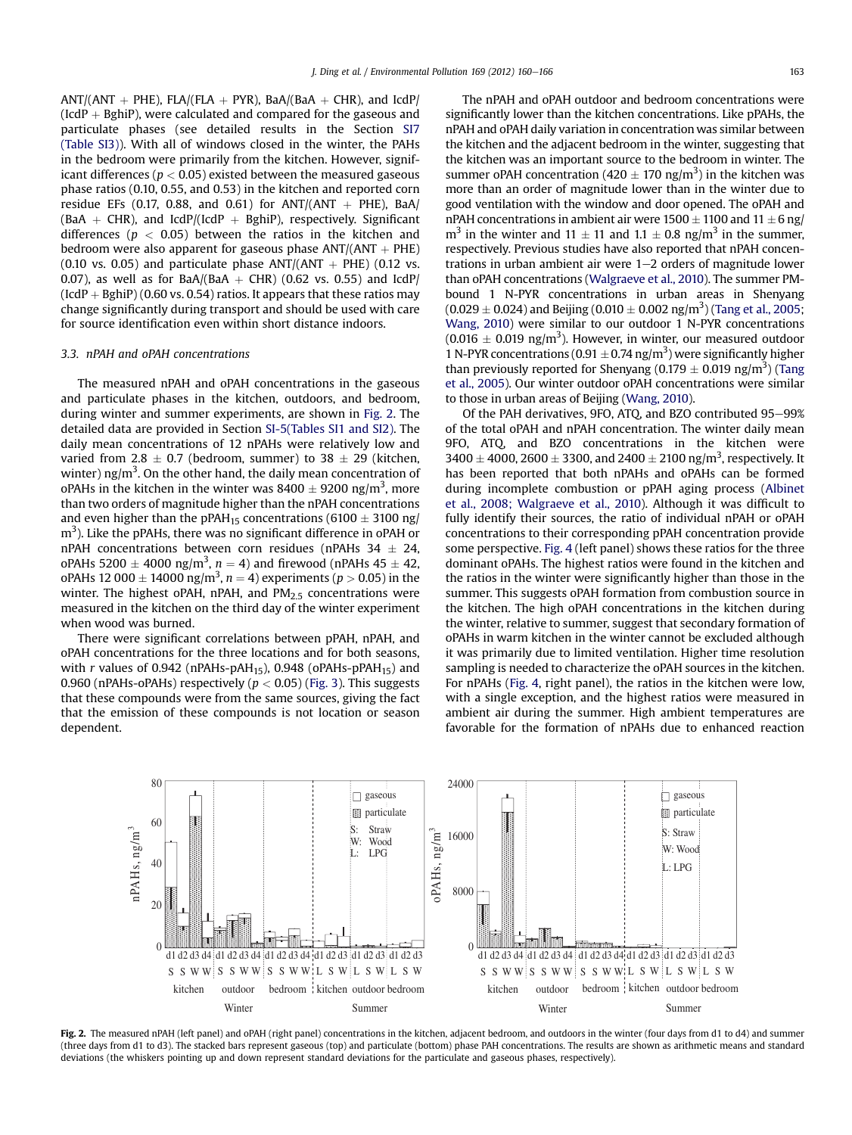$ANT/(ANT + PHE)$ , FLA/(FLA + PYR), BaA/(BaA + CHR), and IcdP/ (IcdP  $+$  BghiP), were calculated and compared for the gaseous and particulate phases (see detailed results in the Section SI7 (Table SI3)). With all of windows closed in the winter, the PAHs in the bedroom were primarily from the kitchen. However, significant differences ( $p < 0.05$ ) existed between the measured gaseous phase ratios (0.10, 0.55, and 0.53) in the kitchen and reported corn residue EFs (0.17, 0.88, and 0.61) for ANT/(ANT  $+$  PHE), BaA/ (BaA + CHR), and IcdP/(IcdP + BghiP), respectively. Significant differences ( $p < 0.05$ ) between the ratios in the kitchen and bedroom were also apparent for gaseous phase  $ANT/(ANT + PHE)$ (0.10 vs. 0.05) and particulate phase  $ANT/(ANT + PHE)$  (0.12 vs. 0.07), as well as for BaA/(BaA  $+$  CHR) (0.62 vs. 0.55) and IcdP/  $(IdP + BghiP) (0.60 \text{ vs. } 0.54)$  ratios. It appears that these ratios may change significantly during transport and should be used with care for source identification even within short distance indoors.

#### 3.3. nPAH and oPAH concentrations

The measured nPAH and oPAH concentrations in the gaseous and particulate phases in the kitchen, outdoors, and bedroom, during winter and summer experiments, are shown in Fig. 2. The detailed data are provided in Section SI-5(Tables SI1 and SI2). The daily mean concentrations of 12 nPAHs were relatively low and varied from 2.8  $\pm$  0.7 (bedroom, summer) to 38  $\pm$  29 (kitchen, winter) ng/m<sup>3</sup>. On the other hand, the daily mean concentration of oPAHs in the kitchen in the winter was  $8400 \pm 9200$  ng/m<sup>3</sup>, more than two orders of magnitude higher than the nPAH concentrations and even higher than the pPAH<sub>15</sub> concentrations (6100  $\pm$  3100 ng/  $\text{m}^{3}$ ). Like the pPAHs, there was no significant difference in oPAH or nPAH concentrations between corn residues (nPAHs  $34 \pm 24$ , oPAHs 5200  $\pm$  4000 ng/m<sup>3</sup>, n = 4) and firewood (nPAHs 45  $\pm$  42, oPAHs 12 000  $\pm$  14000 ng/m<sup>3</sup>, n = 4) experiments (p > 0.05) in the winter. The highest oPAH, nPAH, and  $PM<sub>2.5</sub>$  concentrations were measured in the kitchen on the third day of the winter experiment when wood was burned.

There were significant correlations between pPAH, nPAH, and oPAH concentrations for the three locations and for both seasons, with r values of 0.942 (nPAHs-pAH<sub>15</sub>), 0.948 (oPAHs-pPAH<sub>15</sub>) and 0.960 (nPAHs-oPAHs) respectively ( $p < 0.05$ ) [\(Fig.](#page-4-0) 3). This suggests that these compounds were from the same sources, giving the fact that the emission of these compounds is not location or season dependent.

The nPAH and oPAH outdoor and bedroom concentrations were significantly lower than the kitchen concentrations. Like pPAHs, the nPAH and oPAH daily variation in concentration was similar between the kitchen and the adjacent bedroom in the winter, suggesting that the kitchen was an important source to the bedroom in winter. The summer oPAH concentration ( $420 \pm 170$  ng/m<sup>3</sup>) in the kitchen was more than an order of magnitude lower than in the winter due to good ventilation with the window and door opened. The oPAH and nPAH concentrations in ambient air were  $1500 \pm 1100$  and  $11 \pm 6$  ng/  $m<sup>3</sup>$  in the winter and 11  $\pm$  11 and 1.1  $\pm$  0.8 ng/m<sup>3</sup> in the summer, respectively. Previous studies have also reported that nPAH concentrations in urban ambient air were  $1-2$  orders of magnitude lower than oPAH concentrations [\(Walgraeve](#page-6-0) et al., 2010). The summer PMbound 1 N-PYR concentrations in urban areas in Shenyang  $(0.029 \pm 0.024)$  and Beijing  $(0.010 \pm 0.002$  ng/m<sup>3</sup>) (Tang et al., [2005;](#page-6-0) [Wang,](#page-6-0) 2010) were similar to our outdoor 1 N-PYR concentrations  $(0.016 \pm 0.019 \text{ ng/m}^3)$ . However, in winter, our measured outdoor 1 N-PYR concentrations (0.91  $\pm$  0.74 ng/m<sup>3</sup>) were significantly higher than previously reported for Shenyang (0.179  $\pm$  0.019 ng/m<sup>3</sup>) [\(Tang](#page-6-0) et al., [2005\)](#page-6-0). Our winter outdoor oPAH concentrations were similar to those in urban areas of Beijing ([Wang,](#page-6-0) 2010).

Of the PAH derivatives, 9FO, ATO, and BZO contributed 95-99% of the total oPAH and nPAH concentration. The winter daily mean 9FO, ATQ, and BZO concentrations in the kitchen were  $3400 \pm 4000$ , 2600  $\pm$  3300, and 2400  $\pm$  2100 ng/m<sup>3</sup>, respectively. It has been reported that both nPAHs and oPAHs can be formed during incomplete combustion or pPAH aging process [\(Albinet](#page-5-0) et al., 2008; [Walgraeve](#page-5-0) et al., 2010). Although it was difficult to fully identify their sources, the ratio of individual nPAH or oPAH concentrations to their corresponding pPAH concentration provide some perspective. [Fig.](#page-4-0) 4 (left panel) shows these ratios for the three dominant oPAHs. The highest ratios were found in the kitchen and the ratios in the winter were significantly higher than those in the summer. This suggests oPAH formation from combustion source in the kitchen. The high oPAH concentrations in the kitchen during the winter, relative to summer, suggest that secondary formation of oPAHs in warm kitchen in the winter cannot be excluded although it was primarily due to limited ventilation. Higher time resolution sampling is needed to characterize the oPAH sources in the kitchen. For nPAHs [\(Fig.](#page-4-0) 4, right panel), the ratios in the kitchen were low, with a single exception, and the highest ratios were measured in ambient air during the summer. High ambient temperatures are favorable for the formation of nPAHs due to enhanced reaction



Fig. 2. The measured nPAH (left panel) and oPAH (right panel) concentrations in the kitchen, adjacent bedroom, and outdoors in the winter (four days from d1 to d4) and summer (three days from d1 to d3). The stacked bars represent gaseous (top) and particulate (bottom) phase PAH concentrations. The results are shown as arithmetic means and standard deviations (the whiskers pointing up and down represent standard deviations for the particulate and gaseous phases, respectively).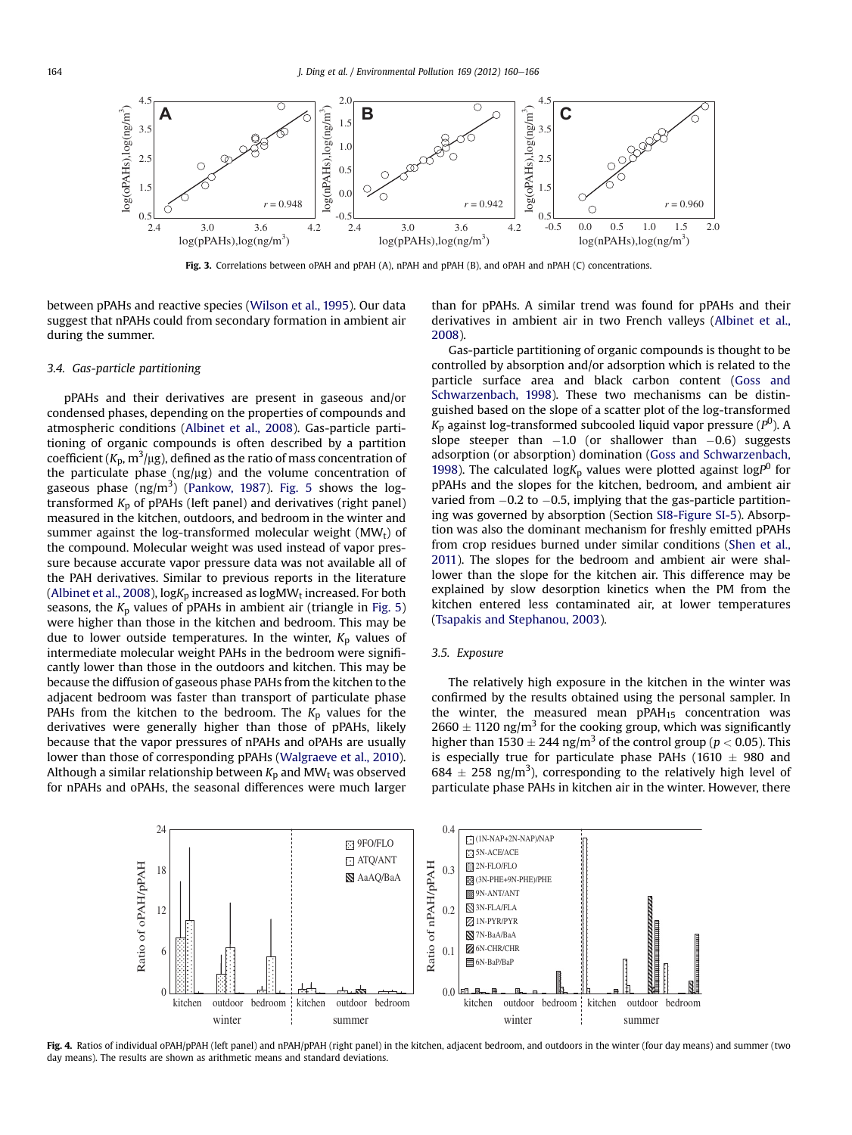<span id="page-4-0"></span>

Fig. 3. Correlations between oPAH and pPAH (A), nPAH and pPAH (B), and oPAH and nPAH (C) concentrations.

between pPAHs and reactive species ([Wilson](#page-6-0) et al., 1995). Our data suggest that nPAHs could from secondary formation in ambient air during the summer.

### 3.4. Gas-particle partitioning

pPAHs and their derivatives are present in gaseous and/or condensed phases, depending on the properties of compounds and atmospheric conditions ([Albinet](#page-5-0) et al., 2008). Gas-particle partitioning of organic compounds is often described by a partition coefficient (K<sub>p</sub>, m $^3$ /µg), defined as the ratio of mass concentration of the particulate phase  $(ng/\mu g)$  and the volume concentration of gaseous phase  $(ng/m^3)$  ([Pankow,](#page-6-0) 1987). [Fig.](#page-5-0) 5 shows the logtransformed  $K_p$  of pPAHs (left panel) and derivatives (right panel) measured in the kitchen, outdoors, and bedroom in the winter and summer against the log-transformed molecular weight  $(MW_t)$  of the compound. Molecular weight was used instead of vapor pressure because accurate vapor pressure data was not available all of the PAH derivatives. Similar to previous reports in the literature ([Albinet](#page-5-0) et al., 2008),  $log K<sub>p</sub>$  increased as  $log M W<sub>t</sub>$  increased. For both seasons, the  $K_p$  values of pPAHs in ambient air (triangle in [Fig.](#page-5-0) 5) were higher than those in the kitchen and bedroom. This may be due to lower outside temperatures. In the winter,  $K_p$  values of intermediate molecular weight PAHs in the bedroom were significantly lower than those in the outdoors and kitchen. This may be because the diffusion of gaseous phase PAHs from the kitchen to the adjacent bedroom was faster than transport of particulate phase PAHs from the kitchen to the bedroom. The  $K_p$  values for the derivatives were generally higher than those of pPAHs, likely because that the vapor pressures of nPAHs and oPAHs are usually lower than those of corresponding pPAHs ([Walgraeve](#page-6-0) et al., 2010). Although a similar relationship between  $K_p$  and MW<sub>t</sub> was observed for nPAHs and oPAHs, the seasonal differences were much larger

than for pPAHs. A similar trend was found for pPAHs and their derivatives in ambient air in two French valleys ([Albinet](#page-5-0) et al., [2008](#page-5-0)).

Gas-particle partitioning of organic compounds is thought to be controlled by absorption and/or adsorption which is related to the particle surface area and black carbon content [\(Goss](#page-5-0) and [Schwarzenbach,](#page-5-0) 1998). These two mechanisms can be distinguished based on the slope of a scatter plot of the log-transformed  $K_{\rm p}$  against log-transformed subcooled liquid vapor pressure ( $P^{\rm O}$ ). A slope steeper than  $-1.0$  (or shallower than  $-0.6$ ) suggests adsorption (or absorption) domination (Goss and [Schwarzenbach,](#page-5-0) [1998](#page-5-0)). The calculated log $K_p$  values were plotted against log $P^0$  for pPAHs and the slopes for the kitchen, bedroom, and ambient air varied from  $-0.2$  to  $-0.5$ , implying that the gas-particle partitioning was governed by absorption (Section SI8-Figure SI-5). Absorption was also the dominant mechanism for freshly emitted pPAHs from crop residues burned under similar conditions ([Shen](#page-6-0) et al., [2011\)](#page-6-0). The slopes for the bedroom and ambient air were shallower than the slope for the kitchen air. This difference may be explained by slow desorption kinetics when the PM from the kitchen entered less contaminated air, at lower temperatures (Tsapakis and [Stephanou,](#page-6-0) 2003).

### 3.5. Exposure

The relatively high exposure in the kitchen in the winter was confirmed by the results obtained using the personal sampler. In the winter, the measured mean  $pPAH_{15}$  concentration was  $2660 \pm 1120$  ng/m<sup>3</sup> for the cooking group, which was significantly higher than 1530  $\pm$  244 ng/m<sup>3</sup> of the control group ( $p < 0.05$ ). This is especially true for particulate phase PAHs (1610  $\pm$  980 and  $684 \pm 258$  ng/m<sup>3</sup>), corresponding to the relatively high level of particulate phase PAHs in kitchen air in the winter. However, there



Fig. 4. Ratios of individual oPAH/pPAH (left panel) and nPAH/pPAH (right panel) in the kitchen, adjacent bedroom, and outdoors in the winter (four day means) and summer (two day means). The results are shown as arithmetic means and standard deviations.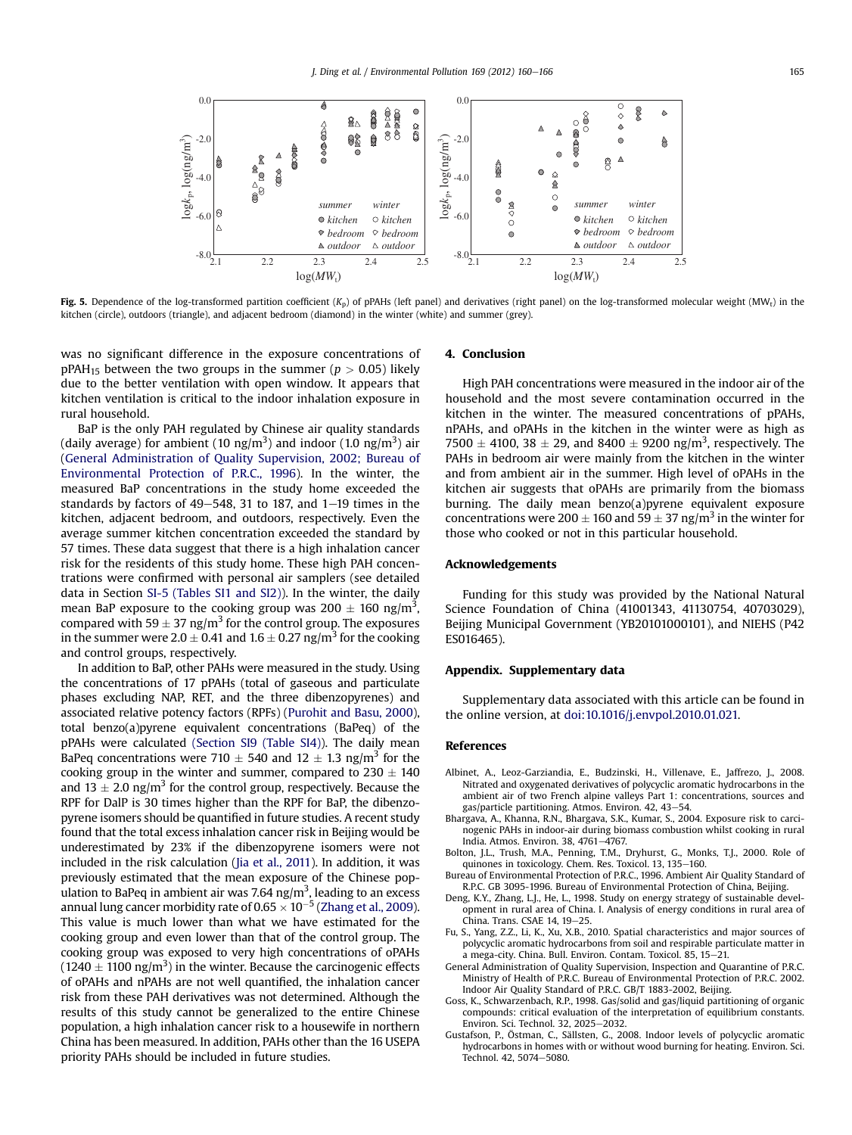<span id="page-5-0"></span>

Fig. 5. Dependence of the log-transformed partition coefficient  $(K_p)$  of pPAHs (left panel) and derivatives (right panel) on the log-transformed molecular weight (MW<sub>t</sub>) in the kitchen (circle), outdoors (triangle), and adjacent bedroom (diamond) in the winter (white) and summer (grey).

was no significant difference in the exposure concentrations of pPAH<sub>15</sub> between the two groups in the summer ( $p > 0.05$ ) likely due to the better ventilation with open window. It appears that kitchen ventilation is critical to the indoor inhalation exposure in rural household.

BaP is the only PAH regulated by Chinese air quality standards (daily average) for ambient (10 ng/m<sup>3</sup>) and indoor (1.0 ng/m<sup>3</sup>) air (General Administration of Quality Supervision, 2002; Bureau of Environmental Protection of P.R.C., 1996). In the winter, the measured BaP concentrations in the study home exceeded the standards by factors of  $49-548$ , 31 to 187, and  $1-19$  times in the kitchen, adjacent bedroom, and outdoors, respectively. Even the average summer kitchen concentration exceeded the standard by 57 times. These data suggest that there is a high inhalation cancer risk for the residents of this study home. These high PAH concentrations were confirmed with personal air samplers (see detailed data in Section SI-5 (Tables SI1 and SI2)). In the winter, the daily mean BaP exposure to the cooking group was  $200 \pm 160$  ng/m<sup>3</sup>, compared with 59  $\pm$  37 ng/m<sup>3</sup> for the control group. The exposures in the summer were  $2.0 \pm 0.41$  and  $1.6 \pm 0.27$  ng/m<sup>3</sup> for the cooking and control groups, respectively.

In addition to BaP, other PAHs were measured in the study. Using the concentrations of 17 pPAHs (total of gaseous and particulate phases excluding NAP, RET, and the three dibenzopyrenes) and associated relative potency factors (RPFs) [\(Purohit](#page-6-0) and Basu, 2000), total benzo(a)pyrene equivalent concentrations (BaPeq) of the pPAHs were calculated (Section SI9 (Table SI4)). The daily mean BaPeq concentrations were 710  $\pm$  540 and 12  $\pm$  1.3 ng/m<sup>3</sup> for the cooking group in the winter and summer, compared to  $230 \pm 140$ and 13  $\pm$  2.0 ng/m<sup>3</sup> for the control group, respectively. Because the RPF for DalP is 30 times higher than the RPF for BaP, the dibenzopyrene isomers should be quantified in future studies. A recent study found that the total excess inhalation cancer risk in Beijing would be underestimated by 23% if the dibenzopyrene isomers were not included in the risk calculation (Jia et al., [2011](#page-6-0)). In addition, it was previously estimated that the mean exposure of the Chinese population to BaPeq in ambient air was 7.64 ng/m $^3$ , leading to an excess annual lung cancer morbidity rate of  $0.65 \times 10^{-5}$  [\(Zhang](#page-6-0) et al., 2009). This value is much lower than what we have estimated for the cooking group and even lower than that of the control group. The cooking group was exposed to very high concentrations of oPAHs  $(1240 \pm 1100 \text{ ng/m}^3)$  in the winter. Because the carcinogenic effects of oPAHs and nPAHs are not well quantified, the inhalation cancer risk from these PAH derivatives was not determined. Although the results of this study cannot be generalized to the entire Chinese population, a high inhalation cancer risk to a housewife in northern China has been measured. In addition, PAHs other than the 16 USEPA priority PAHs should be included in future studies.

### 4. Conclusion

High PAH concentrations were measured in the indoor air of the household and the most severe contamination occurred in the kitchen in the winter. The measured concentrations of pPAHs, nPAHs, and oPAHs in the kitchen in the winter were as high as  $7500 \pm 4100$ ,  $38 \pm 29$ , and  $8400 \pm 9200$  ng/m<sup>3</sup>, respectively. The PAHs in bedroom air were mainly from the kitchen in the winter and from ambient air in the summer. High level of oPAHs in the kitchen air suggests that oPAHs are primarily from the biomass burning. The daily mean benzo(a)pyrene equivalent exposure concentrations were 200  $\pm$  160 and 59  $\pm$  37 ng/m<sup>3</sup> in the winter for those who cooked or not in this particular household.

### Acknowledgements

Funding for this study was provided by the National Natural Science Foundation of China (41001343, 41130754, 40703029), Beijing Municipal Government (YB20101000101), and NIEHS (P42 ES016465).

#### Appendix. Supplementary data

Supplementary data associated with this article can be found in the online version, at [doi:10.1016/j.envpol.2010.01.021.](http://dx.doi.org/10.1016/j.envpol.2010.01.021)

#### References

- Albinet, A., Leoz-Garziandia, E., Budzinski, H., Villenave, E., Jaffrezo, J., 2008. Nitrated and oxygenated derivatives of polycyclic aromatic hydrocarbons in the ambient air of two French alpine valleys Part 1: concentrations, sources and gas/particle partitioning. Atmos. Environ. 42, 43-54.
- Bhargava, A., Khanna, R.N., Bhargava, S.K., Kumar, S., 2004. Exposure risk to carcinogenic PAHs in indoor-air during biomass combustion whilst cooking in rural India. Atmos. Environ. 38, 4761-4767.
- Bolton, J.L., Trush, M.A., Penning, T.M., Dryhurst, G., Monks, T.J., 2000. Role of quinones in toxicology. Chem. Res. Toxicol. 13, 135-160.
- Bureau of Environmental Protection of P.R.C., 1996. Ambient Air Quality Standard of R.P.C. GB 3095-1996. Bureau of Environmental Protection of China, Beijing.
- Deng, K.Y., Zhang, L.J., He, L., 1998. Study on energy strategy of sustainable development in rural area of China. I. Analysis of energy conditions in rural area of China. Trans. CSAE 14, 19-25.
- Fu, S., Yang, Z.Z., Li, K., Xu, X.B., 2010. Spatial characteristics and major sources of polycyclic aromatic hydrocarbons from soil and respirable particulate matter in a mega-city. China. Bull. Environ. Contam. Toxicol. 85, 15-21.
- General Administration of Quality Supervision, Inspection and Quarantine of P.R.C. Ministry of Health of P.R.C. Bureau of Environmental Protection of P.R.C. 2002. Indoor Air Quality Standard of P.R.C. GB/T 1883-2002, Beijing.
- Goss, K., Schwarzenbach, R.P., 1998. Gas/solid and gas/liquid partitioning of organic compounds: critical evaluation of the interpretation of equilibrium constants. Environ. Sci. Technol. 32, 2025-2032.
- Gustafson, P., Östman, C., Sällsten, G., 2008. Indoor levels of polycyclic aromatic hydrocarbons in homes with or without wood burning for heating. Environ. Sci. Technol. 42, 5074-5080.